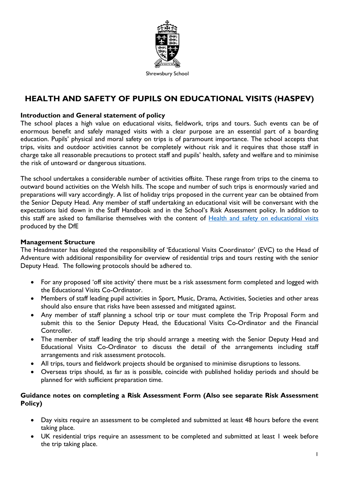

Shrewsbury School

# **HEALTH AND SAFETY OF PUPILS ON EDUCATIONAL VISITS (HASPEV)**

#### **Introduction and General statement of policy**

The school places a high value on educational visits, fieldwork, trips and tours. Such events can be of enormous benefit and safely managed visits with a clear purpose are an essential part of a boarding education. Pupils' physical and moral safety on trips is of paramount importance. The school accepts that trips, visits and outdoor activities cannot be completely without risk and it requires that those staff in charge take all reasonable precautions to protect staff and pupils' health, safety and welfare and to minimise the risk of untoward or dangerous situations.

The school undertakes a considerable number of activities offsite. These range from trips to the cinema to outward bound activities on the Welsh hills. The scope and number of such trips is enormously varied and preparations will vary accordingly. A list of holiday trips proposed in the current year can be obtained from the Senior Deputy Head. Any member of staff undertaking an educational visit will be conversant with the expectations laid down in the Staff Handbook and in the School's Risk Assessment policy. In addition to this staff are asked to familiarise themselves with the content of [Health and safety on educational visits](https://www.gov.uk/government/publications/health-and-safety-on-educational-visits/health-and-safety-on-educational-visits) produced by the DfE

#### **Management Structure**

The Headmaster has delegated the responsibility of 'Educational Visits Coordinator' (EVC) to the Head of Adventure with additional responsibility for overview of residential trips and tours resting with the senior Deputy Head. The following protocols should be adhered to.

- For any proposed 'off site activity' there must be a risk assessment form completed and logged with the Educational Visits Co-Ordinator.
- Members of staff leading pupil activities in Sport, Music, Drama, Activities, Societies and other areas should also ensure that risks have been assessed and mitigated against.
- Any member of staff planning a school trip or tour must complete the Trip Proposal Form and submit this to the Senior Deputy Head, the Educational Visits Co-Ordinator and the Financial Controller.
- The member of staff leading the trip should arrange a meeting with the Senior Deputy Head and Educational Visits Co-Ordinator to discuss the detail of the arrangements including staff arrangements and risk assessment protocols.
- All trips, tours and fieldwork projects should be organised to minimise disruptions to lessons.
- Overseas trips should, as far as is possible, coincide with published holiday periods and should be planned for with sufficient preparation time.

#### **Guidance notes on completing a Risk Assessment Form (Also see separate Risk Assessment Policy)**

- Day visits require an assessment to be completed and submitted at least 48 hours before the event taking place.
- UK residential trips require an assessment to be completed and submitted at least 1 week before the trip taking place.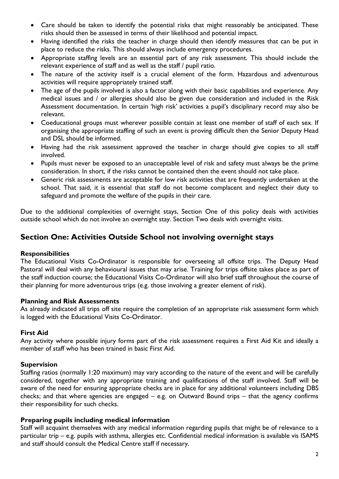- Care should be taken to identify the potential risks that might reasonably be anticipated. These risks should then be assessed in terms of their likelihood and potential impact.
- Having identified the risks the teacher in charge should then identify measures that can be put in place to reduce the risks. This should always include emergency procedures.
- Appropriate staffing levels are an essential part of any risk assessment. This should include the relevant experience of staff and as well as the staff / pupil ratio.
- The nature of the activity itself is a crucial element of the form. Hazardous and adventurous activities will require appropriately trained staff.
- The age of the pupils involved is also a factor along with their basic capabilities and experience. Any medical issues and / or allergies should also be given due consideration and included in the Risk Assessment documentation. In certain 'high risk' activities a pupil's disciplinary record may also be relevant.
- Coeducational groups must wherever possible contain at least one member of staff of each sex. If organising the appropriate staffing of such an event is proving difficult then the Senior Deputy Head and DSL should be informed.
- Having had the risk assessment approved the teacher in charge should give copies to all staff involved.
- Pupils must never be exposed to an unacceptable level of risk and safety must always be the prime consideration. In short, if the risks cannot be contained then the event should not take place.
- Generic risk assessments are acceptable for low risk activities that are frequently undertaken at the school. That said, it is essential that staff do not become complacent and neglect their duty to safeguard and promote the welfare of the pupils in their care.

Due to the additional complexities of overnight stays, Section One of this policy deals with activities outside school which do not involve an overnight stay. Section Two deals with overnight visits.

# **Section One: Activities Outside School not involving overnight stays**

### **Responsibilities**

The Educational Visits Co-Ordinator is responsible for overseeing all offsite trips. The Deputy Head Pastoral will deal with any behavioural issues that may arise. Training for trips offsite takes place as part of the staff induction course; the Educational Visits Co-Ordinator will also brief staff throughout the course of their planning for more adventurous trips (e.g. those involving a greater element of risk).

### **Planning and Risk Assessments**

As already indicated all trips off site require the completion of an appropriate risk assessment form which is logged with the Educational Visits Co-Ordinator.

### **First Aid**

Any activity where possible injury forms part of the risk assessment requires a First Aid Kit and ideally a member of staff who has been trained in basic First Aid.

### **Supervision**

Staffing ratios (normally 1:20 maximum) may vary according to the nature of the event and will be carefully considered, together with any appropriate training and qualifications of the staff involved. Staff will be aware of the need for ensuring appropriate checks are in place for any additional volunteers including DBS checks; and that where agencies are engaged – e.g. on Outward Bound trips – that the agency confirms their responsibility for such checks.

#### **Preparing pupils including medical information**

Staff will acquaint themselves with any medical information regarding pupils that might be of relevance to a particular trip – e.g. pupils with asthma, allergies etc. Confidential medical information is available vis ISAMS and staff should consult the Medical Centre staff if necessary.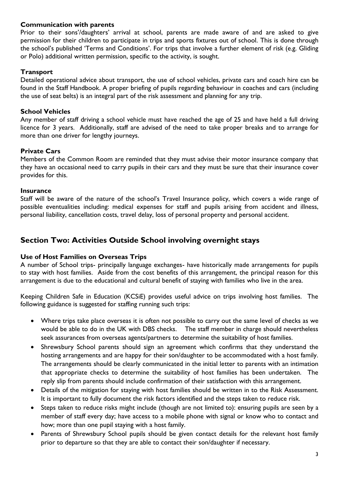### **Communication with parents**

Prior to their sons'/daughters' arrival at school, parents are made aware of and are asked to give permission for their children to participate in trips and sports fixtures out of school. This is done through the school's published 'Terms and Conditions'. For trips that involve a further element of risk (e.g. Gliding or Polo) additional written permission, specific to the activity, is sought.

### **Transport**

Detailed operational advice about transport, the use of school vehicles, private cars and coach hire can be found in the Staff Handbook. A proper briefing of pupils regarding behaviour in coaches and cars (including the use of seat belts) is an integral part of the risk assessment and planning for any trip.

### **School Vehicles**

Any member of staff driving a school vehicle must have reached the age of 25 and have held a full driving licence for 3 years. Additionally, staff are advised of the need to take proper breaks and to arrange for more than one driver for lengthy journeys.

### **Private Cars**

Members of the Common Room are reminded that they must advise their motor insurance company that they have an occasional need to carry pupils in their cars and they must be sure that their insurance cover provides for this.

#### **Insurance**

Staff will be aware of the nature of the school's Travel Insurance policy, which covers a wide range of possible eventualities including: medical expenses for staff and pupils arising from accident and illness, personal liability, cancellation costs, travel delay, loss of personal property and personal accident.

## **Section Two: Activities Outside School involving overnight stays**

#### **Use of Host Families on Overseas Trips**

A number of School trips- principally language exchanges- have historically made arrangements for pupils to stay with host families. Aside from the cost benefits of this arrangement, the principal reason for this arrangement is due to the educational and cultural benefit of staying with families who live in the area.

Keeping Children Safe in Education (KCSiE) provides useful advice on trips involving host families. The following guidance is suggested for staffing running such trips:

- Where trips take place overseas it is often not possible to carry out the same level of checks as we would be able to do in the UK with DBS checks. The staff member in charge should nevertheless seek assurances from overseas agents/partners to determine the suitability of host families.
- Shrewsbury School parents should sign an agreement which confirms that they understand the hosting arrangements and are happy for their son/daughter to be accommodated with a host family. The arrangements should be clearly communicated in the initial letter to parents with an intimation that appropriate checks to determine the suitability of host families has been undertaken. The reply slip from parents should include confirmation of their satisfaction with this arrangement.
- Details of the mitigation for staying with host families should be written in to the Risk Assessment. It is important to fully document the risk factors identified and the steps taken to reduce risk.
- Steps taken to reduce risks might include (though are not limited to): ensuring pupils are seen by a member of staff every day; have access to a mobile phone with signal or know who to contact and how; more than one pupil staying with a host family.
- Parents of Shrewsbury School pupils should be given contact details for the relevant host family prior to departure so that they are able to contact their son/daughter if necessary.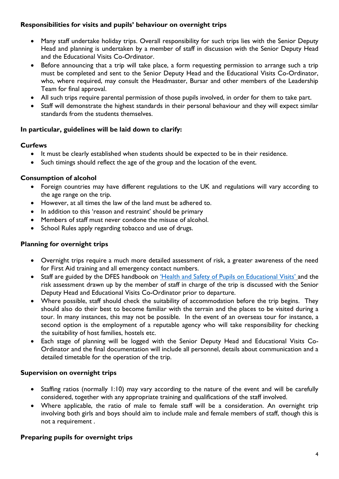### **Responsibilities for visits and pupils' behaviour on overnight trips**

- Many staff undertake holiday trips. Overall responsibility for such trips lies with the Senior Deputy Head and planning is undertaken by a member of staff in discussion with the Senior Deputy Head and the Educational Visits Co-Ordinator.
- Before announcing that a trip will take place, a form requesting permission to arrange such a trip must be completed and sent to the Senior Deputy Head and the Educational Visits Co-Ordinator, who, where required, may consult the Headmaster, Bursar and other members of the Leadership Team for final approval.
- All such trips require parental permission of those pupils involved, in order for them to take part.
- Staff will demonstrate the highest standards in their personal behaviour and they will expect similar standards from the students themselves.

### **In particular, guidelines will be laid down to clarify:**

### **Curfews**

- It must be clearly established when students should be expected to be in their residence.
- Such timings should reflect the age of the group and the location of the event.

### **Consumption of alcohol**

- Foreign countries may have different regulations to the UK and regulations will vary according to the age range on the trip.
- However, at all times the law of the land must be adhered to.
- In addition to this 'reason and restraint' should be primary
- Members of staff must never condone the misuse of alcohol.
- School Rules apply regarding tobacco and use of drugs.

### **Planning for overnight trips**

- Overnight trips require a much more detailed assessment of risk, a greater awareness of the need for First Aid training and all emergency contact numbers.
- Staff are guided by the DFES handbook on ['Health and Safety of Pupils on Educational Visits'](https://www.gov.uk/government/publications/health-and-safety-on-educational-visits/health-and-safety-on-educational-visits) and the risk assessment drawn up by the member of staff in charge of the trip is discussed with the Senior Deputy Head and Educational Visits Co-Ordinator prior to departure.
- Where possible, staff should check the suitability of accommodation before the trip begins. They should also do their best to become familiar with the terrain and the places to be visited during a tour. In many instances, this may not be possible. In the event of an overseas tour for instance, a second option is the employment of a reputable agency who will take responsibility for checking the suitability of host families, hostels etc.
- Each stage of planning will be logged with the Senior Deputy Head and Educational Visits Co-Ordinator and the final documentation will include all personnel, details about communication and a detailed timetable for the operation of the trip.

#### **Supervision on overnight trips**

- Staffing ratios (normally 1:10) may vary according to the nature of the event and will be carefully considered, together with any appropriate training and qualifications of the staff involved.
- Where applicable, the ratio of male to female staff will be a consideration. An overnight trip involving both girls and boys should aim to include male and female members of staff, though this is not a requirement .

#### **Preparing pupils for overnight trips**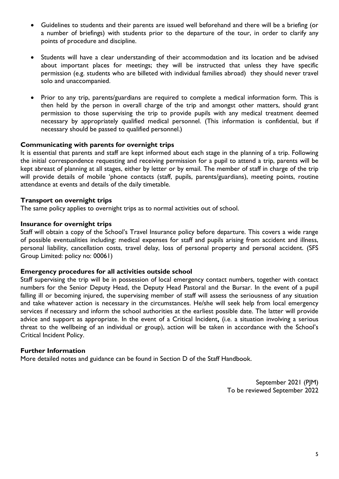- Guidelines to students and their parents are issued well beforehand and there will be a briefing (or a number of briefings) with students prior to the departure of the tour, in order to clarify any points of procedure and discipline.
- Students will have a clear understanding of their accommodation and its location and be advised about important places for meetings; they will be instructed that unless they have specific permission (e.g. students who are billeted with individual families abroad) they should never travel solo and unaccompanied.
- Prior to any trip, parents/guardians are required to complete a medical information form. This is then held by the person in overall charge of the trip and amongst other matters, should grant permission to those supervising the trip to provide pupils with any medical treatment deemed necessary by appropriately qualified medical personnel. (This information is confidential, but if necessary should be passed to qualified personnel.)

#### **Communicating with parents for overnight trips**

It is essential that parents and staff are kept informed about each stage in the planning of a trip. Following the initial correspondence requesting and receiving permission for a pupil to attend a trip, parents will be kept abreast of planning at all stages, either by letter or by email. The member of staff in charge of the trip will provide details of mobile 'phone contacts (staff, pupils, parents/guardians), meeting points, routine attendance at events and details of the daily timetable.

#### **Transport on overnight trips**

The same policy applies to overnight trips as to normal activities out of school.

#### **Insurance for overnight trips**

Staff will obtain a copy of the School's Travel Insurance policy before departure. This covers a wide range of possible eventualities including: medical expenses for staff and pupils arising from accident and illness, personal liability, cancellation costs, travel delay, loss of personal property and personal accident. (SFS Group Limited: policy no: 00061)

#### **Emergency procedures for all activities outside school**

Staff supervising the trip will be in possession of local emergency contact numbers, together with contact numbers for the Senior Deputy Head, the Deputy Head Pastoral and the Bursar. In the event of a pupil falling ill or becoming injured, the supervising member of staff will assess the seriousness of any situation and take whatever action is necessary in the circumstances. He/she will seek help from local emergency services if necessary and inform the school authorities at the earliest possible date. The latter will provide advice and support as appropriate. In the event of a Critical Incident**,** (i.e. a situation involving a serious threat to the wellbeing of an individual or group), action will be taken in accordance with the School's Critical Incident Policy.

#### **Further Information**

More detailed notes and guidance can be found in Section D of the Staff Handbook.

September 2021 (PJM) To be reviewed September 2022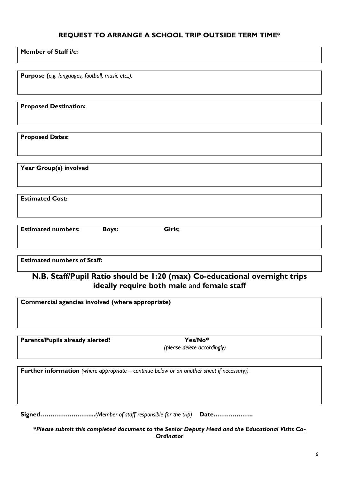## **REQUEST TO ARRANGE A SCHOOL TRIP OUTSIDE TERM TIME\***

| <b>Member of Staff i/c:</b> |  |  |
|-----------------------------|--|--|
|-----------------------------|--|--|

**Purpose (***e.g. languages, football, music etc.,):*

**Proposed Destination:**

**Proposed Dates:**

**Year Group(s) involved**

**Estimated Cost:**

| <b>Estimated numbers:</b> | Boys: | Girls; |  |
|---------------------------|-------|--------|--|
|                           |       |        |  |

### **Estimated numbers of Staff:**

# **N.B. Staff/Pupil Ratio should be 1:20 (max) Co-educational overnight trips ideally require both male** and **female staff**

| Commercial agencies involved (where appropriate)                                                             |                             |  |
|--------------------------------------------------------------------------------------------------------------|-----------------------------|--|
|                                                                                                              |                             |  |
| <b>Parents/Pupils already alerted?</b>                                                                       | $Yes/No*$                   |  |
|                                                                                                              | (please delete accordingly) |  |
| <b>Further information</b> (where appropriate – continue below or on another sheet if necessary))            |                             |  |
| <b>Signed</b> (Member of staff responsible for the trip) <b>Date</b>                                         |                             |  |
| *Please submit this completed document to the Senior Deputy Head and the Educational Visits Co-<br>Ordinator |                             |  |